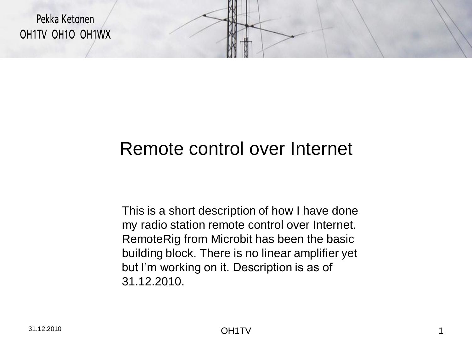

# Remote control over Internet

This is a short description of how I have done my radio station remote control over Internet. RemoteRig from Microbit has been the basic building block. There is no linear amplifier yet but I'm working on it. Description is as of 31.12.2010.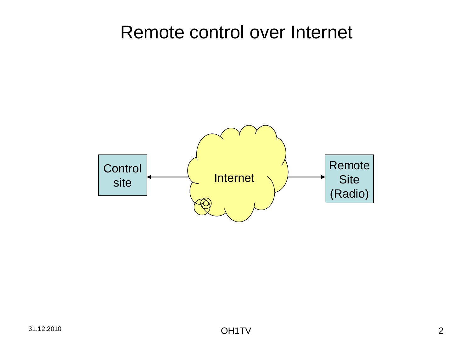### Remote control over Internet

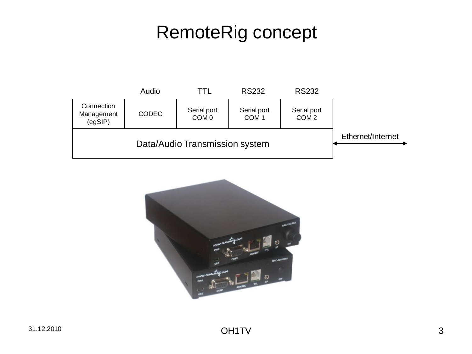# RemoteRig concept



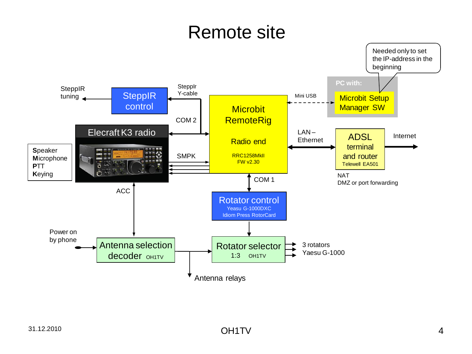### Remote site

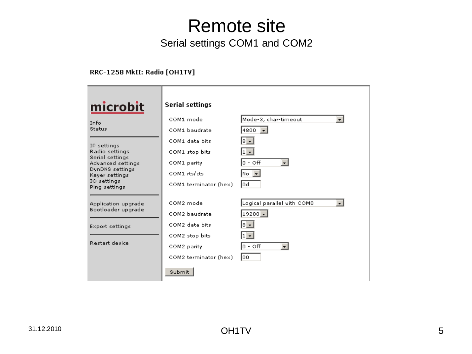### Remote site Serial settings COM1 and COM2

#### RRC-1258 MkII: Radio [OH1TV]

| <u>microbit</u>                                                                                                                            | <b>Serial settings</b>                                                                                           |                                                                                                        |
|--------------------------------------------------------------------------------------------------------------------------------------------|------------------------------------------------------------------------------------------------------------------|--------------------------------------------------------------------------------------------------------|
| Info<br>Status                                                                                                                             | COM1 mode<br>COM1 baudrate                                                                                       | Mode-3, char-timeout<br>$\overline{\phantom{0}}$<br>4800                                               |
| IP settings<br>Radio settings<br>Serial settings<br>Advanced settings<br>DynDNS settings<br>Keyer settings<br>IO settings<br>Ping settings | COM1 data bits<br>COM1 stop bits<br>COM1 parity<br>COM1 rts/cts<br>COM1 terminator (hex)                         | l≋ ≖l<br>$1 -$<br>lo - offi<br>$\cdot$<br> No I <del>v</del><br>lod                                    |
| Application upgrade<br>Bootloader upgrade<br><b>Export settings</b><br><b>Restart device</b>                                               | COM2 mode<br>COM2 baudrate<br>COM2 data bits<br>COM2 stop bits<br>COM2 parity<br>COM2 terminator (hex)<br>Submit | Logical parallel with COMO<br>$19200 -$<br>∣≋ – ∣<br>$1 -$<br>$ 0 - \circ ff $<br>$\mathbf{r}$<br>loo. |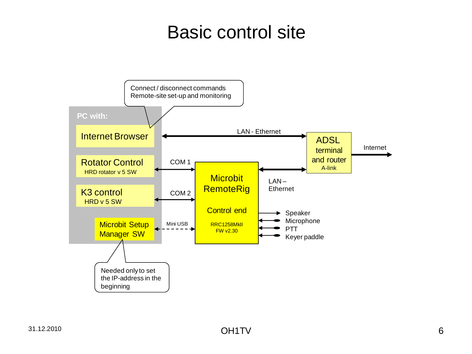### Basic control site

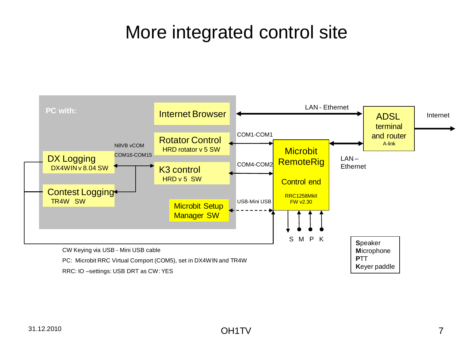# More integrated control site

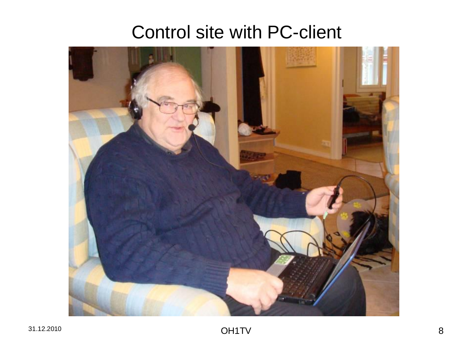### Control site with PC-client